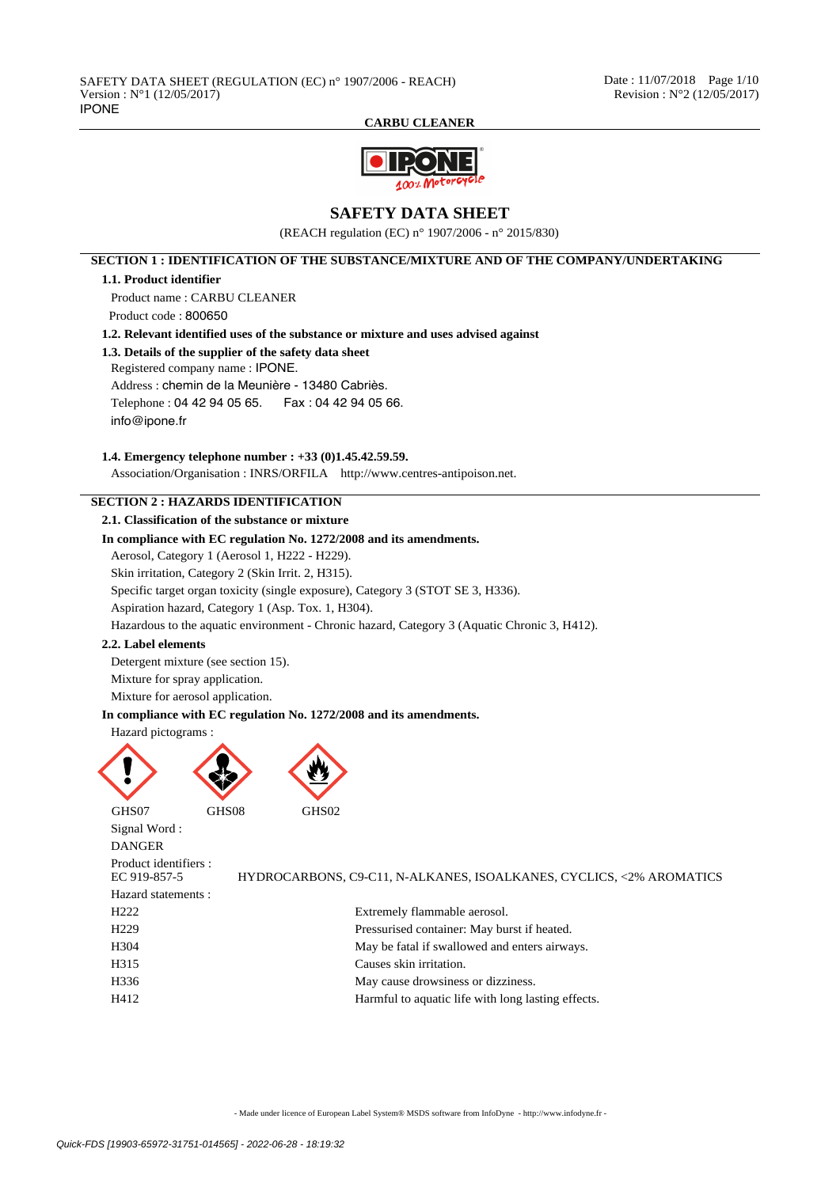

# **SAFETY DATA SHEET**

(REACH regulation (EC) n° 1907/2006 - n° 2015/830)

**SECTION 1 : IDENTIFICATION OF THE SUBSTANCE/MIXTURE AND OF THE COMPANY/UNDERTAKING**

## **1.1. Product identifier**

Product name : CARBU CLEANER

Product code : 800650

**1.2. Relevant identified uses of the substance or mixture and uses advised against**

## **1.3. Details of the supplier of the safety data sheet**

Registered company name : IPONE.

Address : chemin de la Meunière - 13480 Cabriès.

Telephone : 04 42 94 05 65. Fax : 04 42 94 05 66.

info@ipone.fr

## **1.4. Emergency telephone number : +33 (0)1.45.42.59.59.**

Association/Organisation : INRS/ORFILA http://www.centres-antipoison.net.

# **SECTION 2 : HAZARDS IDENTIFICATION**

**2.1. Classification of the substance or mixture**

## **In compliance with EC regulation No. 1272/2008 and its amendments.**

Aerosol, Category 1 (Aerosol 1, H222 - H229).

Skin irritation, Category 2 (Skin Irrit. 2, H315).

Specific target organ toxicity (single exposure), Category 3 (STOT SE 3, H336).

Aspiration hazard, Category 1 (Asp. Tox. 1, H304).

Hazardous to the aquatic environment - Chronic hazard, Category 3 (Aquatic Chronic 3, H412).

### **2.2. Label elements**

Detergent mixture (see section 15). Mixture for spray application.

Mixture for aerosol application.

## **In compliance with EC regulation No. 1272/2008 and its amendments.**

#### Hazard pictograms :



Signal Word : **DANGER** 

Product identifiers :

Hazard statements :

EC 919-857-5 HYDROCARBONS, C9-C11, N-ALKANES, ISOALKANES, CYCLICS, <2% AROMATICS H222 Extremely flammable aerosol.

| H <sub>229</sub> | Pressurised container: May burst if heated.   |
|------------------|-----------------------------------------------|
| H304             | May be fatal if swallowed and enters airways. |
| H315             | Causes skin irritation.                       |

```
H336 May cause drowsiness or dizziness.
```
H412 Harmful to aquatic life with long lasting effects.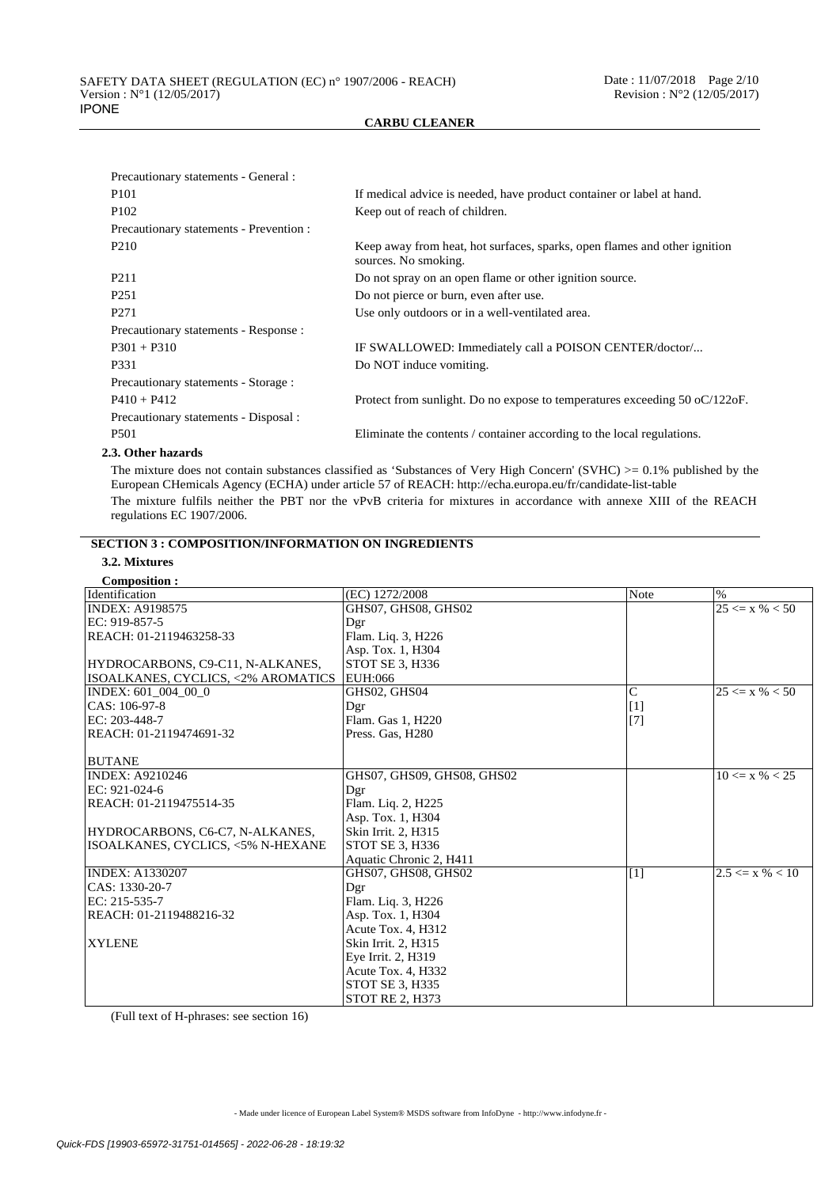| Precautionary statements - General :    |                                                                                                   |
|-----------------------------------------|---------------------------------------------------------------------------------------------------|
| P <sub>101</sub>                        | If medical advice is needed, have product container or label at hand.                             |
| P <sub>102</sub>                        | Keep out of reach of children.                                                                    |
| Precautionary statements - Prevention : |                                                                                                   |
| P <sub>210</sub>                        | Keep away from heat, hot surfaces, sparks, open flames and other ignition<br>sources. No smoking. |
| P <sub>211</sub>                        | Do not spray on an open flame or other ignition source.                                           |
| P <sub>251</sub>                        | Do not pierce or burn, even after use.                                                            |
| P <sub>271</sub>                        | Use only outdoors or in a well-ventilated area.                                                   |
| Precautionary statements - Response :   |                                                                                                   |
| $P301 + P310$                           | IF SWALLOWED: Immediately call a POISON CENTER/doctor/                                            |
| P331                                    | Do NOT induce vomiting.                                                                           |
| Precautionary statements - Storage :    |                                                                                                   |
| $P410 + P412$                           | Protect from sunlight. Do no expose to temperatures exceeding $50$ oC/122oF.                      |
| Precautionary statements - Disposal :   |                                                                                                   |
| P <sub>501</sub>                        | Eliminate the contents / container according to the local regulations.                            |
|                                         |                                                                                                   |

### **2.3. Other hazards**

The mixture does not contain substances classified as 'Substances of Very High Concern' (SVHC) >= 0.1% published by the European CHemicals Agency (ECHA) under article 57 of REACH: http://echa.europa.eu/fr/candidate-list-table The mixture fulfils neither the PBT nor the vPvB criteria for mixtures in accordance with annexe XIII of the REACH regulations EC 1907/2006.

# **SECTION 3 : COMPOSITION/INFORMATION ON INGREDIENTS**

# **3.2. Mixtures**

| <b>Composition:</b>                |                            |                |                               |
|------------------------------------|----------------------------|----------------|-------------------------------|
| Identification                     | (EC) 1272/2008             | Note           | $\%$                          |
| <b>INDEX: A9198575</b>             | GHS07, GHS08, GHS02        |                | $\overline{25} \le x \% < 50$ |
| EC: 919-857-5                      | Dgr                        |                |                               |
| REACH: 01-2119463258-33            | Flam. Liq. 3, H226         |                |                               |
|                                    | Asp. Tox. 1, H304          |                |                               |
| HYDROCARBONS, C9-C11, N-ALKANES,   | STOT SE 3, H336            |                |                               |
| ISOALKANES, CYCLICS, <2% AROMATICS | EUH:066                    |                |                               |
| INDEX: 601 004 00 0                | GHS02, GHS04               | $\overline{C}$ | $25 \le x \% < 50$            |
| CAS: 106-97-8                      | Dgr                        | $[1]$          |                               |
| EC: 203-448-7                      | Flam. Gas 1, H220          | $[7]$          |                               |
| REACH: 01-2119474691-32            | Press. Gas, H280           |                |                               |
|                                    |                            |                |                               |
| <b>BUTANE</b>                      |                            |                |                               |
| <b>INDEX: A9210246</b>             | GHS07, GHS09, GHS08, GHS02 |                | $10 \le x \% < 25$            |
| $EC: 921-024-6$                    | Dgr                        |                |                               |
| REACH: 01-2119475514-35            | Flam. Liq. 2, H225         |                |                               |
|                                    | Asp. Tox. 1, H304          |                |                               |
| HYDROCARBONS, C6-C7, N-ALKANES,    | Skin Irrit. 2, H315        |                |                               |
| ISOALKANES, CYCLICS, <5% N-HEXANE  | STOT SE 3, H336            |                |                               |
|                                    | Aquatic Chronic 2, H411    |                |                               |
| <b>INDEX: A1330207</b>             | GHS07, GHS08, GHS02        | $[1]$          | $2.5 \le x \% < 10$           |
| CAS: 1330-20-7                     | Dgr                        |                |                               |
| $EC: 215-535-7$                    | Flam. Liq. 3, H226         |                |                               |
| REACH: 01-2119488216-32            | Asp. Tox. 1, H304          |                |                               |
|                                    | Acute Tox. 4, H312         |                |                               |
| <b>XYLENE</b>                      | Skin Irrit. 2, H315        |                |                               |
|                                    | Eye Irrit. 2, H319         |                |                               |
|                                    | Acute Tox. 4, H332         |                |                               |
|                                    | <b>STOT SE 3, H335</b>     |                |                               |
|                                    | <b>STOT RE 2. H373</b>     |                |                               |

(Full text of H-phrases: see section 16)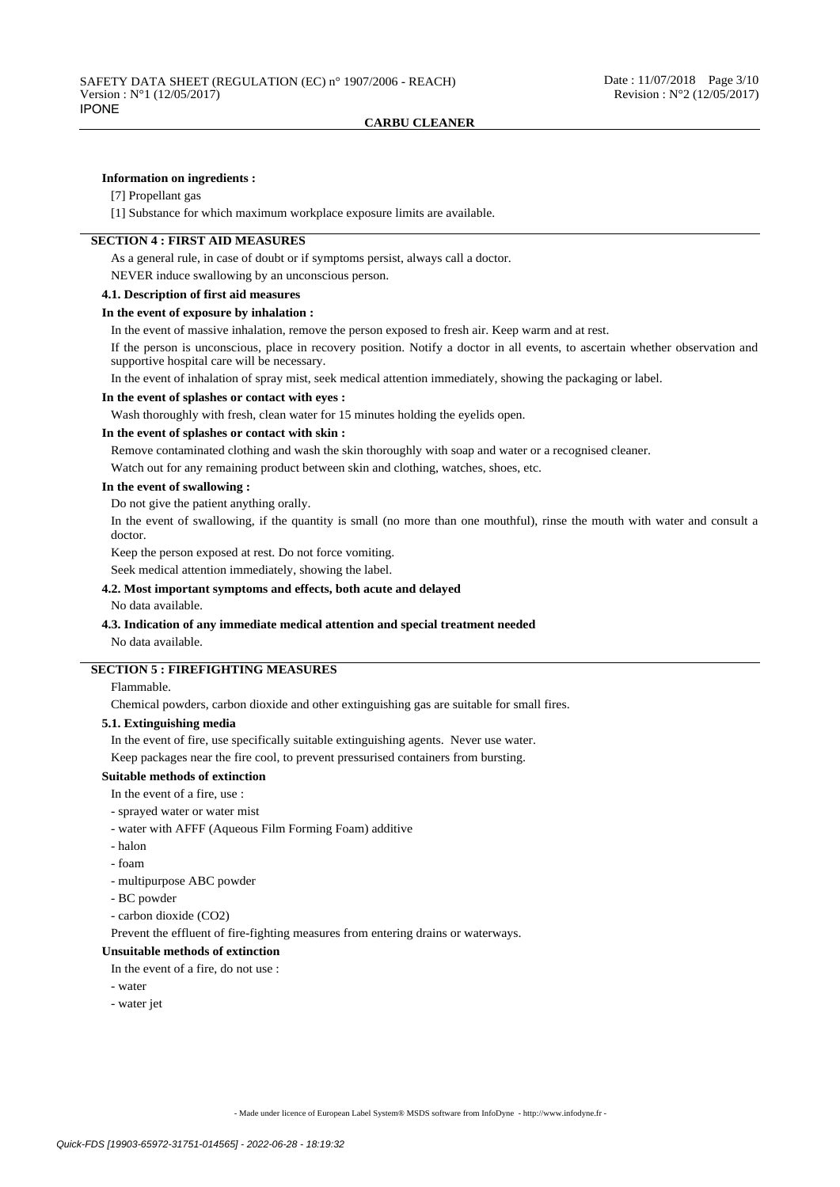### **Information on ingredients :**

## [7] Propellant gas

[1] Substance for which maximum workplace exposure limits are available.

## **SECTION 4 : FIRST AID MEASURES**

As a general rule, in case of doubt or if symptoms persist, always call a doctor.

NEVER induce swallowing by an unconscious person.

## **4.1. Description of first aid measures**

#### **In the event of exposure by inhalation :**

In the event of massive inhalation, remove the person exposed to fresh air. Keep warm and at rest.

If the person is unconscious, place in recovery position. Notify a doctor in all events, to ascertain whether observation and supportive hospital care will be necessary.

In the event of inhalation of spray mist, seek medical attention immediately, showing the packaging or label.

### **In the event of splashes or contact with eyes :**

Wash thoroughly with fresh, clean water for 15 minutes holding the eyelids open.

### **In the event of splashes or contact with skin :**

Remove contaminated clothing and wash the skin thoroughly with soap and water or a recognised cleaner.

Watch out for any remaining product between skin and clothing, watches, shoes, etc.

### **In the event of swallowing :**

Do not give the patient anything orally.

In the event of swallowing, if the quantity is small (no more than one mouthful), rinse the mouth with water and consult a doctor.

Keep the person exposed at rest. Do not force vomiting.

Seek medical attention immediately, showing the label.

#### **4.2. Most important symptoms and effects, both acute and delayed**

No data available.

## **4.3. Indication of any immediate medical attention and special treatment needed**

No data available.

## **SECTION 5 : FIREFIGHTING MEASURES**

Flammable.

Chemical powders, carbon dioxide and other extinguishing gas are suitable for small fires.

### **5.1. Extinguishing media**

In the event of fire, use specifically suitable extinguishing agents. Never use water.

Keep packages near the fire cool, to prevent pressurised containers from bursting.

## **Suitable methods of extinction**

In the event of a fire, use :

- sprayed water or water mist
- water with AFFF (Aqueous Film Forming Foam) additive
- halon
- foam
- multipurpose ABC powder
- BC powder
- carbon dioxide (CO2)

Prevent the effluent of fire-fighting measures from entering drains or waterways.

# **Unsuitable methods of extinction**

In the event of a fire, do not use :

- water
- water jet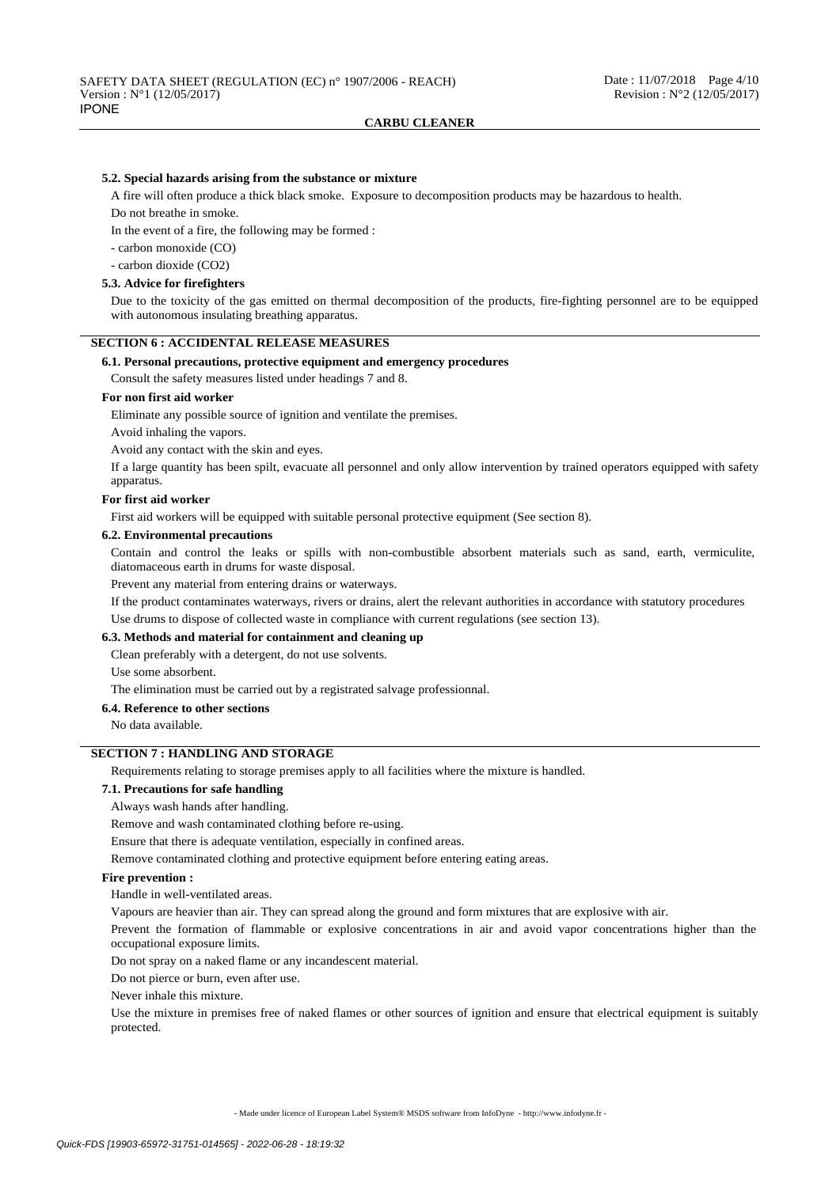### **5.2. Special hazards arising from the substance or mixture**

A fire will often produce a thick black smoke. Exposure to decomposition products may be hazardous to health. Do not breathe in smoke.

In the event of a fire, the following may be formed :

- carbon monoxide (CO)

- carbon dioxide (CO2)

#### **5.3. Advice for firefighters**

Due to the toxicity of the gas emitted on thermal decomposition of the products, fire-fighting personnel are to be equipped with autonomous insulating breathing apparatus.

## **SECTION 6 : ACCIDENTAL RELEASE MEASURES**

### **6.1. Personal precautions, protective equipment and emergency procedures**

Consult the safety measures listed under headings 7 and 8.

### **For non first aid worker**

Eliminate any possible source of ignition and ventilate the premises.

Avoid inhaling the vapors.

Avoid any contact with the skin and eyes.

If a large quantity has been spilt, evacuate all personnel and only allow intervention by trained operators equipped with safety apparatus.

### **For first aid worker**

First aid workers will be equipped with suitable personal protective equipment (See section 8).

#### **6.2. Environmental precautions**

Contain and control the leaks or spills with non-combustible absorbent materials such as sand, earth, vermiculite, diatomaceous earth in drums for waste disposal.

Prevent any material from entering drains or waterways.

If the product contaminates waterways, rivers or drains, alert the relevant authorities in accordance with statutory procedures Use drums to dispose of collected waste in compliance with current regulations (see section 13).

#### **6.3. Methods and material for containment and cleaning up**

Clean preferably with a detergent, do not use solvents.

Use some absorbent.

The elimination must be carried out by a registrated salvage professionnal.

#### **6.4. Reference to other sections**

No data available.

# **SECTION 7 : HANDLING AND STORAGE**

Requirements relating to storage premises apply to all facilities where the mixture is handled.

#### **7.1. Precautions for safe handling**

Always wash hands after handling.

Remove and wash contaminated clothing before re-using.

Ensure that there is adequate ventilation, especially in confined areas.

Remove contaminated clothing and protective equipment before entering eating areas.

### **Fire prevention :**

Handle in well-ventilated areas.

Vapours are heavier than air. They can spread along the ground and form mixtures that are explosive with air.

Prevent the formation of flammable or explosive concentrations in air and avoid vapor concentrations higher than the occupational exposure limits.

Do not spray on a naked flame or any incandescent material.

Do not pierce or burn, even after use.

Never inhale this mixture.

Use the mixture in premises free of naked flames or other sources of ignition and ensure that electrical equipment is suitably protected.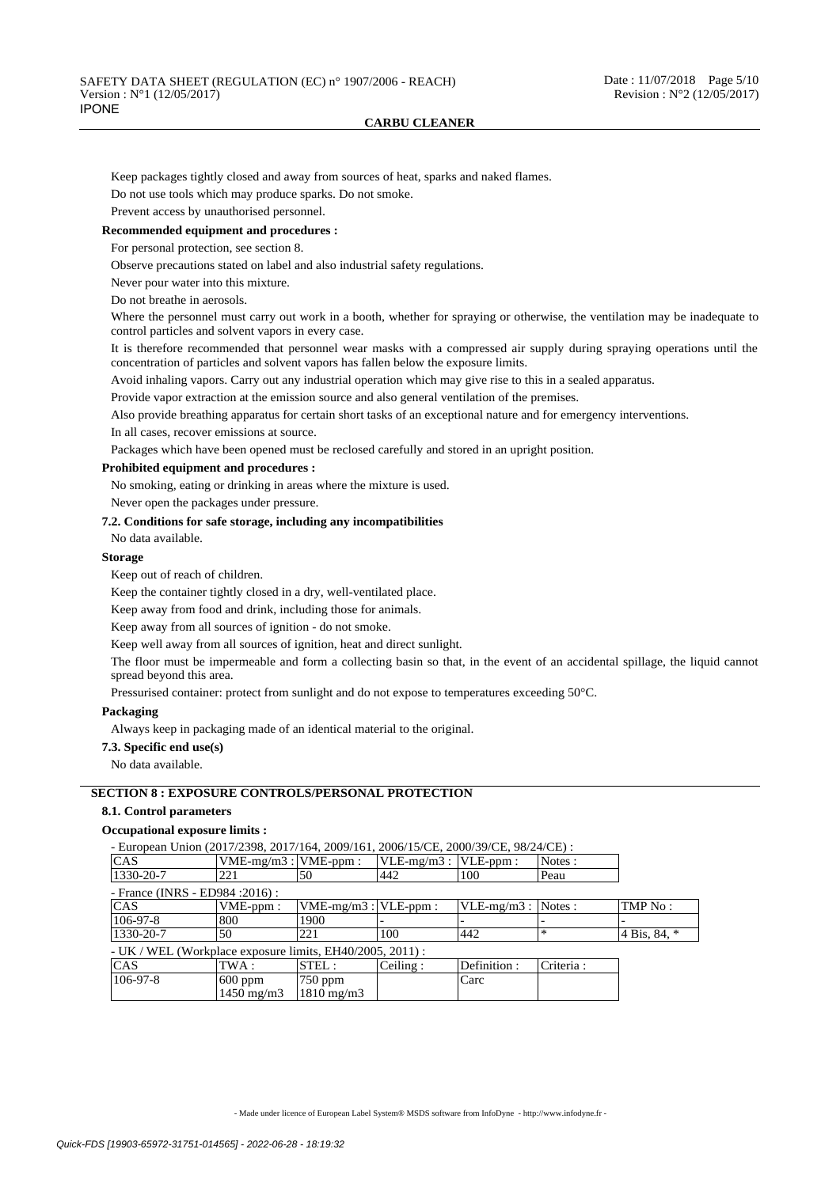Keep packages tightly closed and away from sources of heat, sparks and naked flames.

Do not use tools which may produce sparks. Do not smoke.

Prevent access by unauthorised personnel.

## **Recommended equipment and procedures :**

For personal protection, see section 8.

Observe precautions stated on label and also industrial safety regulations.

Never pour water into this mixture.

Do not breathe in aerosols.

Where the personnel must carry out work in a booth, whether for spraying or otherwise, the ventilation may be inadequate to control particles and solvent vapors in every case.

It is therefore recommended that personnel wear masks with a compressed air supply during spraying operations until the concentration of particles and solvent vapors has fallen below the exposure limits.

Avoid inhaling vapors. Carry out any industrial operation which may give rise to this in a sealed apparatus.

Provide vapor extraction at the emission source and also general ventilation of the premises.

Also provide breathing apparatus for certain short tasks of an exceptional nature and for emergency interventions.

In all cases, recover emissions at source.

Packages which have been opened must be reclosed carefully and stored in an upright position.

## **Prohibited equipment and procedures :**

No smoking, eating or drinking in areas where the mixture is used.

Never open the packages under pressure.

#### **7.2. Conditions for safe storage, including any incompatibilities**

No data available.

#### **Storage**

Keep out of reach of children.

Keep the container tightly closed in a dry, well-ventilated place.

Keep away from food and drink, including those for animals.

Keep away from all sources of ignition - do not smoke.

Keep well away from all sources of ignition, heat and direct sunlight.

The floor must be impermeable and form a collecting basin so that, in the event of an accidental spillage, the liquid cannot spread beyond this area.

Pressurised container: protect from sunlight and do not expose to temperatures exceeding 50°C.

### **Packaging**

Always keep in packaging made of an identical material to the original.

#### **7.3. Specific end use(s)**

No data available.

## **SECTION 8 : EXPOSURE CONTROLS/PERSONAL PROTECTION**

1450 mg/m3

## **8.1. Control parameters**

### **Occupational exposure limits :**

- European Union (2017/2398, 2017/164, 2009/161, 2006/15/CE, 2000/39/CE, 98/24/CE) :

1810 mg/m3

| <b>CAS</b>                                                  | $VME-mg/m3$ : $VME-ppm$ : |                           | $ VLE-mg/m3 $ : $ VLE-ppm $ : |                       | Notes:    |              |
|-------------------------------------------------------------|---------------------------|---------------------------|-------------------------------|-----------------------|-----------|--------------|
| $1330 - 20 - 7$                                             | 221                       | 150                       | 442                           | 100                   | Peau      |              |
| - France (INRS - ED984 : 2016) :                            |                           |                           |                               |                       |           |              |
| <b>CAS</b>                                                  | VME-ppm:                  | $VME-mg/m3$ : $VLE-ppm$ : |                               | $VLE-mg/m3$ : Notes : |           | TMP No:      |
| $ 106-97-8 $                                                | 1800                      | 1900                      |                               |                       |           |              |
| $1330 - 20 - 7$                                             | 50                        | 221                       | 100                           | 442                   | *         | 4 Bis, 84, * |
| $- UK$ / WEL (Workplace exposure limits, EH40/2005, 2011) : |                           |                           |                               |                       |           |              |
| <b>CAS</b>                                                  | TWA :                     | $ {\rm STEL}$ :           | Ceiling:                      | Definition:           | Criteria: |              |
| $106-97-8$                                                  | $600$ ppm                 | $750$ ppm                 |                               | Carc                  |           |              |

- Made under licence of European Label System® MSDS software from InfoDyne - http://www.infodyne.fr -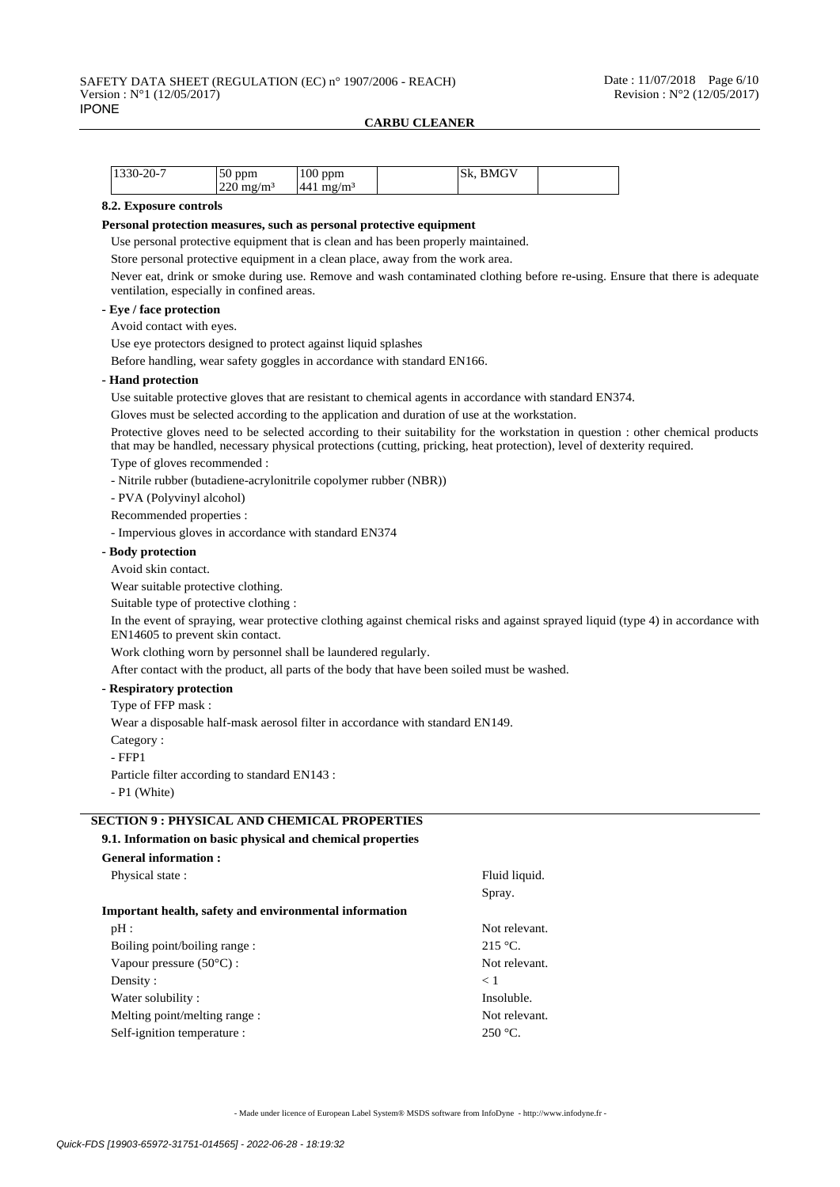| 1330-20-7 | $^{\prime\prime}$ ppm. | 100<br>ppm      | <b>BMGV</b><br>Sk. |  |
|-----------|------------------------|-----------------|--------------------|--|
|           | $220 \text{ mg/m}^3$   | 441<br>$mg/m^3$ |                    |  |

## **8.2. Exposure controls**

#### **Personal protection measures, such as personal protective equipment**

Use personal protective equipment that is clean and has been properly maintained.

Store personal protective equipment in a clean place, away from the work area.

Never eat, drink or smoke during use. Remove and wash contaminated clothing before re-using. Ensure that there is adequate ventilation, especially in confined areas.

#### **- Eye / face protection**

Avoid contact with eyes.

Use eye protectors designed to protect against liquid splashes

Before handling, wear safety goggles in accordance with standard EN166.

#### **- Hand protection**

Use suitable protective gloves that are resistant to chemical agents in accordance with standard EN374.

Gloves must be selected according to the application and duration of use at the workstation.

Protective gloves need to be selected according to their suitability for the workstation in question : other chemical products that may be handled, necessary physical protections (cutting, pricking, heat protection), level of dexterity required.

### Type of gloves recommended :

- Nitrile rubber (butadiene-acrylonitrile copolymer rubber (NBR))

- PVA (Polyvinyl alcohol)

Recommended properties :

- Impervious gloves in accordance with standard EN374

## **- Body protection**

Avoid skin contact.

Wear suitable protective clothing.

Suitable type of protective clothing :

In the event of spraying, wear protective clothing against chemical risks and against sprayed liquid (type 4) in accordance with EN14605 to prevent skin contact.

Work clothing worn by personnel shall be laundered regularly.

After contact with the product, all parts of the body that have been soiled must be washed.

### **- Respiratory protection**

Type of FFP mask :

Wear a disposable half-mask aerosol filter in accordance with standard EN149.

Category :

- FFP1

Particle filter according to standard EN143 :

- P1 (White)

## **SECTION 9 : PHYSICAL AND CHEMICAL PROPERTIES**

## **9.1. Information on basic physical and chemical properties**

| <b>General information:</b>                                   |               |
|---------------------------------------------------------------|---------------|
| Physical state:                                               | Fluid liquid. |
|                                                               | Spray.        |
| <b>Important health, safety and environmental information</b> |               |
| pH:                                                           | Not relevant. |
| Boiling point/boiling range:                                  | $215 °C$ .    |
| Vapour pressure $(50^{\circ}C)$ :                             | Not relevant. |
| Density:                                                      | $\lt 1$       |
| Water solubility:                                             | Insoluble.    |
| Melting point/melting range :                                 | Not relevant. |
| Self-ignition temperature :                                   | $250 °C$ .    |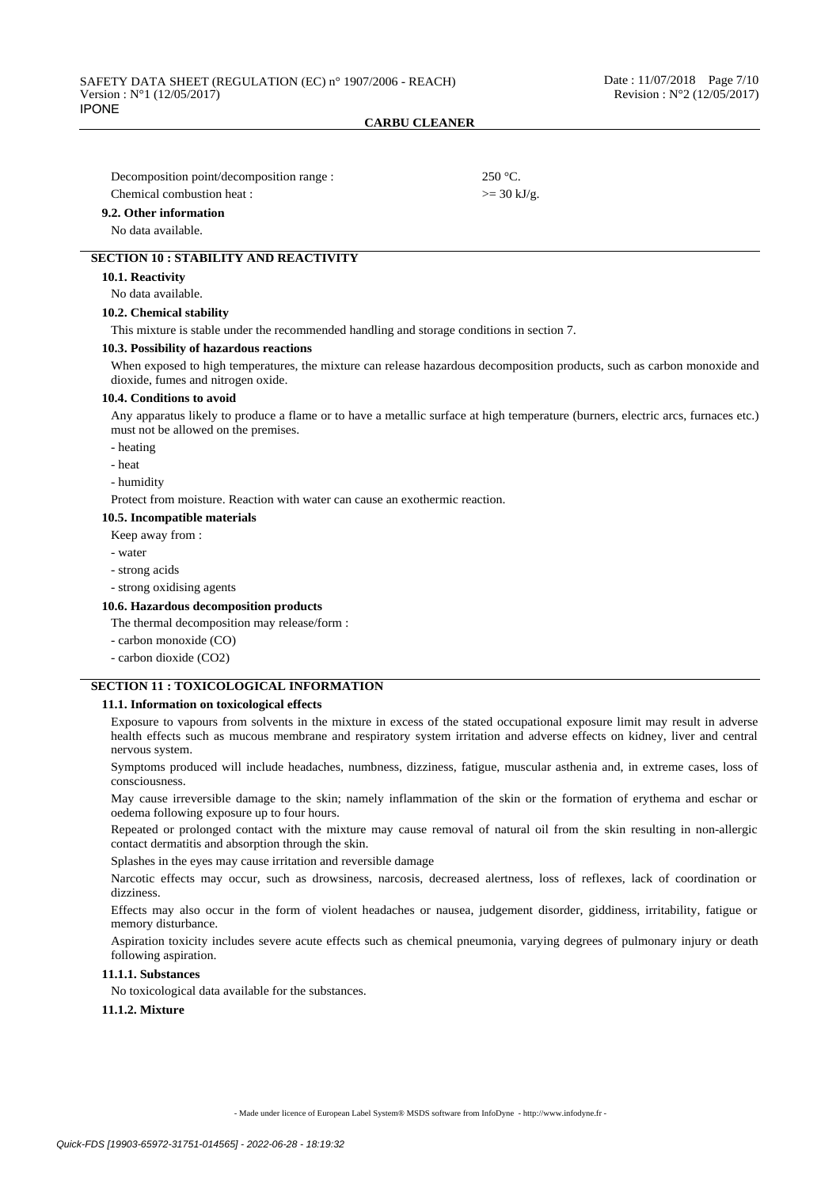| Decomposition point/decomposition range : | $250 °C$ .            |
|-------------------------------------------|-----------------------|
| Chemical combustion heat :                | $>= 30 \text{ kJ/g}.$ |
| 9.2. Other information                    |                       |
| No data available.                        |                       |

## **SECTION 10 : STABILITY AND REACTIVITY**

#### **10.1. Reactivity**

No data available.

## **10.2. Chemical stability**

This mixture is stable under the recommended handling and storage conditions in section 7.

#### **10.3. Possibility of hazardous reactions**

When exposed to high temperatures, the mixture can release hazardous decomposition products, such as carbon monoxide and dioxide, fumes and nitrogen oxide.

#### **10.4. Conditions to avoid**

Any apparatus likely to produce a flame or to have a metallic surface at high temperature (burners, electric arcs, furnaces etc.) must not be allowed on the premises.

- heating

- heat

- humidity

Protect from moisture. Reaction with water can cause an exothermic reaction.

#### **10.5. Incompatible materials**

#### Keep away from :

- water

- strong acids
- strong oxidising agents

#### **10.6. Hazardous decomposition products**

The thermal decomposition may release/form :

- carbon monoxide (CO)
- carbon dioxide (CO2)

## **SECTION 11 : TOXICOLOGICAL INFORMATION**

#### **11.1. Information on toxicological effects**

Exposure to vapours from solvents in the mixture in excess of the stated occupational exposure limit may result in adverse health effects such as mucous membrane and respiratory system irritation and adverse effects on kidney, liver and central nervous system.

Symptoms produced will include headaches, numbness, dizziness, fatigue, muscular asthenia and, in extreme cases, loss of consciousness.

May cause irreversible damage to the skin; namely inflammation of the skin or the formation of erythema and eschar or oedema following exposure up to four hours.

Repeated or prolonged contact with the mixture may cause removal of natural oil from the skin resulting in non-allergic contact dermatitis and absorption through the skin.

Splashes in the eyes may cause irritation and reversible damage

Narcotic effects may occur, such as drowsiness, narcosis, decreased alertness, loss of reflexes, lack of coordination or dizziness.

Effects may also occur in the form of violent headaches or nausea, judgement disorder, giddiness, irritability, fatigue or memory disturbance.

Aspiration toxicity includes severe acute effects such as chemical pneumonia, varying degrees of pulmonary injury or death following aspiration.

### **11.1.1. Substances**

No toxicological data available for the substances.

**11.1.2. Mixture**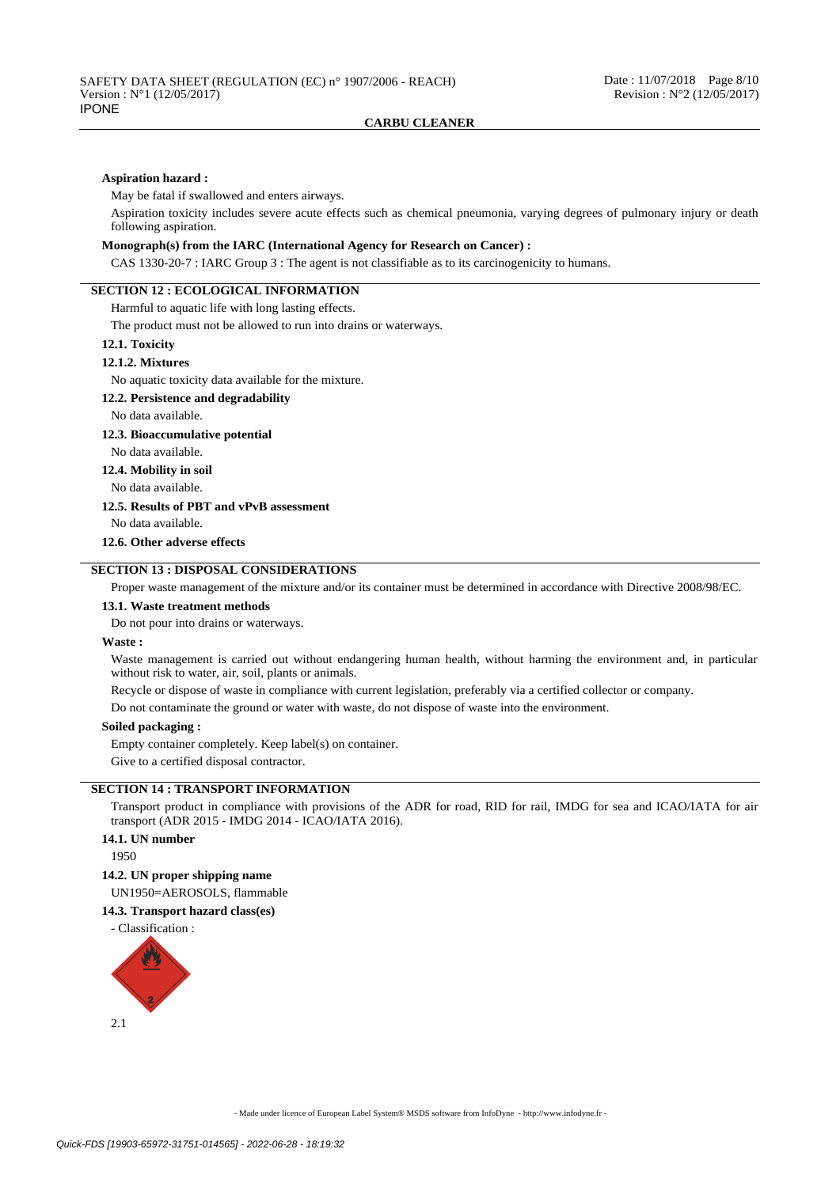#### **Aspiration hazard :**

May be fatal if swallowed and enters airways.

Aspiration toxicity includes severe acute effects such as chemical pneumonia, varying degrees of pulmonary injury or death following aspiration.

### **Monograph(s) from the IARC (International Agency for Research on Cancer) :**

CAS 1330-20-7 : IARC Group 3 : The agent is not classifiable as to its carcinogenicity to humans.

# **SECTION 12 : ECOLOGICAL INFORMATION**

Harmful to aquatic life with long lasting effects.

The product must not be allowed to run into drains or waterways.

#### **12.1. Toxicity**

### **12.1.2. Mixtures**

No aquatic toxicity data available for the mixture.

## **12.2. Persistence and degradability**

No data available.

### **12.3. Bioaccumulative potential**

No data available.

# **12.4. Mobility in soil**

No data available.

### **12.5. Results of PBT and vPvB assessment**

No data available.

**12.6. Other adverse effects**

### **SECTION 13 : DISPOSAL CONSIDERATIONS**

Proper waste management of the mixture and/or its container must be determined in accordance with Directive 2008/98/EC.

#### **13.1. Waste treatment methods**

Do not pour into drains or waterways.

#### **Waste :**

Waste management is carried out without endangering human health, without harming the environment and, in particular without risk to water, air, soil, plants or animals.

Recycle or dispose of waste in compliance with current legislation, preferably via a certified collector or company.

Do not contaminate the ground or water with waste, do not dispose of waste into the environment.

### **Soiled packaging :**

Empty container completely. Keep label(s) on container.

Give to a certified disposal contractor.

## **SECTION 14 : TRANSPORT INFORMATION**

Transport product in compliance with provisions of the ADR for road, RID for rail, IMDG for sea and ICAO/IATA for air transport (ADR 2015 - IMDG 2014 - ICAO/IATA 2016).

## **14.1. UN number**

1950

#### **14.2. UN proper shipping name**

UN1950=AEROSOLS, flammable

# **14.3. Transport hazard class(es)**

- Classification :

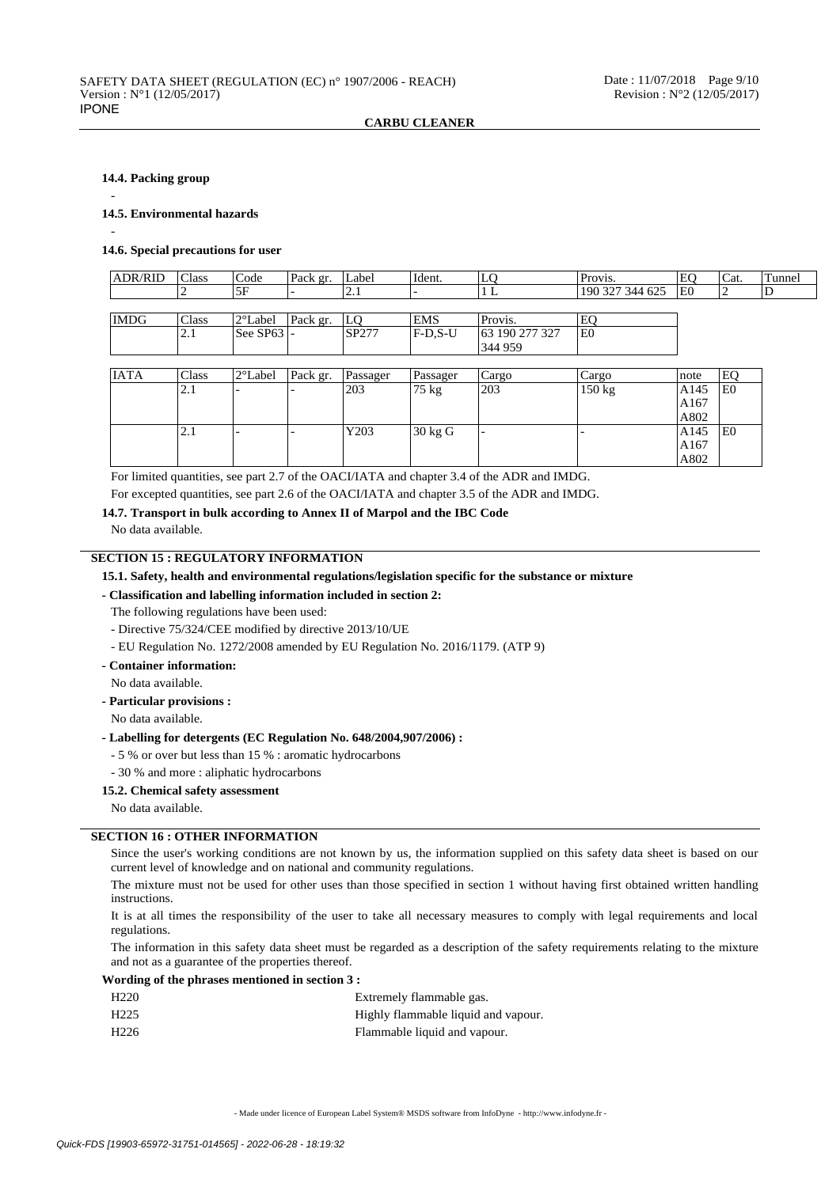### **14.4. Packing group**

-

-

### **14.5. Environmental hazards**

#### **14.6. Special precautions for user**

| <b>ADR/RID</b> | <b>Class</b> | Code     | Pack gr. | Label      | 'Ident.                             | ∼          | Provis.         | ۱۳۰ | 'Cat. | Tunnel |
|----------------|--------------|----------|----------|------------|-------------------------------------|------------|-----------------|-----|-------|--------|
|                |              |          | -        | $\sim$ . 1 |                                     | ∸          | 190 327 344 625 | lE0 |       |        |
|                |              |          |          |            |                                     |            |                 |     |       |        |
| <b>IMDG</b>    | Class        | 2°Label  | Pack gr. | LC         | <b>EMS</b>                          | Provis.    | E0              |     |       |        |
|                |              | la anzol |          | 0.027      | $\Gamma$ $\Gamma$ $\Gamma$ $\Gamma$ | 100.272.22 | $\Gamma$        |     |       |        |

| ----- | -------    | .        | $1 - 1$                  | .     | ------                          | .                               | --             |
|-------|------------|----------|--------------------------|-------|---------------------------------|---------------------------------|----------------|
|       | $\sim$ . 1 | See SP63 | $\overline{\phantom{0}}$ | SP277 | $\mathbf{a}$<br>. H-D, J<br>7-U | 190 277<br>227<br>ി6ാ<br>ا سے ب | E <sub>0</sub> |
|       |            |          |                          |       |                                 | 959<br>344                      |                |
|       |            |          |                          |       |                                 |                                 |                |

| <b>IATA</b> | Class             | $ 2^{\circ}$ Label | Pack gr. | Passager | Passager | Cargo                    | Cargo  | Inote | EO             |
|-------------|-------------------|--------------------|----------|----------|----------|--------------------------|--------|-------|----------------|
|             | $\angle$ .1       |                    |          | 203      | 75 kg    | 203                      | 150 kg | A145  | E <sub>0</sub> |
|             |                   |                    |          |          |          |                          |        | A167  |                |
|             |                   |                    |          |          |          |                          |        | A802  |                |
|             | $\mathcal{L}$ . 1 |                    |          | Y203     | 30 kg G  | $\overline{\phantom{0}}$ |        | A145  | E <sub>0</sub> |
|             |                   |                    |          |          |          |                          |        | A167  |                |
|             |                   |                    |          |          |          |                          |        | A802  |                |

For limited quantities, see part 2.7 of the OACI/IATA and chapter 3.4 of the ADR and IMDG.

For excepted quantities, see part 2.6 of the OACI/IATA and chapter 3.5 of the ADR and IMDG.

### **14.7. Transport in bulk according to Annex II of Marpol and the IBC Code**

No data available.

## **SECTION 15 : REGULATORY INFORMATION**

- **15.1. Safety, health and environmental regulations/legislation specific for the substance or mixture**
- **Classification and labelling information included in section 2:**
- The following regulations have been used:
- Directive 75/324/CEE modified by directive 2013/10/UE
- EU Regulation No. 1272/2008 amended by EU Regulation No. 2016/1179. (ATP 9)
- **Container information:**
- No data available.
- **Particular provisions :**
- No data available.

## **- Labelling for detergents (EC Regulation No. 648/2004,907/2006) :**

- 5 % or over but less than 15 % : aromatic hydrocarbons
- 30 % and more : aliphatic hydrocarbons

#### **15.2. Chemical safety assessment**

No data available.

## **SECTION 16 : OTHER INFORMATION**

Since the user's working conditions are not known by us, the information supplied on this safety data sheet is based on our current level of knowledge and on national and community regulations.

The mixture must not be used for other uses than those specified in section 1 without having first obtained written handling instructions.

It is at all times the responsibility of the user to take all necessary measures to comply with legal requirements and local regulations.

The information in this safety data sheet must be regarded as a description of the safety requirements relating to the mixture and not as a guarantee of the properties thereof.

#### **Wording of the phrases mentioned in section 3 :**

| H <sub>220</sub> | Extremely flammable gas.            |
|------------------|-------------------------------------|
| H <sub>225</sub> | Highly flammable liquid and vapour. |
| H <sub>226</sub> | Flammable liquid and vapour.        |